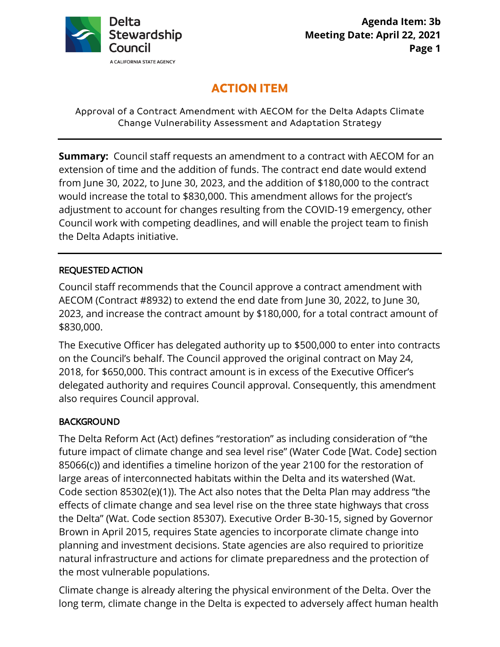

# **ACTION ITEM**

Approval of a Contract Amendment with AECOM for the Delta Adapts Climate Change Vulnerability Assessment and Adaptation Strategy

 would increase the total to \$830,000. This amendment allows for the project's the Delta Adapts initiative. **Summary:** Council staff requests an amendment to a contract with AECOM for an extension of time and the addition of funds. The contract end date would extend from June 30, 2022, to June 30, 2023, and the addition of \$180,000 to the contract adjustment to account for changes resulting from the COVID-19 emergency, other Council work with competing deadlines, and will enable the project team to finish

## REQUESTED ACTION

Council staff recommends that the Council approve a contract amendment with AECOM (Contract #8932) to extend the end date from June 30, 2022, to June 30, 2023, and increase the contract amount by \$180,000, for a total contract amount of \$830,000.

The Executive Officer has delegated authority up to \$500,000 to enter into contracts on the Council's behalf. The Council approved the original contract on May 24, 2018, for \$650,000. This contract amount is in excess of the Executive Officer's delegated authority and requires Council approval. Consequently, this amendment also requires Council approval.

## **BACKGROUND**

The Delta Reform Act (Act) defines "restoration" as including consideration of "the future impact of climate change and sea level rise" (Water Code [Wat. Code] section 85066(c)) and identifies a timeline horizon of the year 2100 for the restoration of large areas of interconnected habitats within the Delta and its watershed (Wat. Code section 85302(e)(1)). The Act also notes that the Delta Plan may address "the effects of climate change and sea level rise on the three state highways that cross the Delta" (Wat. Code section 85307). Executive Order B-30-15, signed by Governor Brown in April 2015, requires State agencies to incorporate climate change into planning and investment decisions. State agencies are also required to prioritize natural infrastructure and actions for climate preparedness and the protection of the most vulnerable populations.

Climate change is already altering the physical environment of the Delta. Over the long term, climate change in the Delta is expected to adversely affect human health